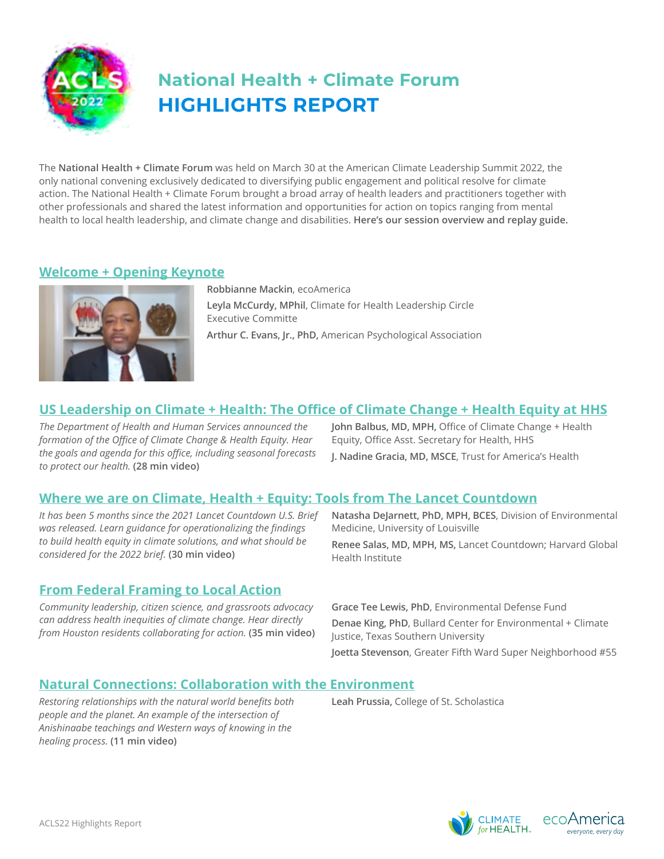

# **HIGHLIGHTS REPORT National Health + Climate Forum**

The **National Health + Climate Forum** was held on March 30 at the American Climate Leadership Summit 2022, the only national convening exclusively dedicated to diversifying public engagement and political resolve for climate action. The National Health + Climate Forum brought a broad array of health leaders and practitioners together with other professionals and shared the latest information and opportunities for action on topics ranging from mental health to local health leadership, and climate change and disabilities. **Here's our session overview and replay guide.**

## **[Welcome + Opening Keynote](https://youtu.be/T7xdAOmWwAw)**



**Robbianne Mackin**, ecoAmerica **Leyla McCurdy, MPhil**, Climate for Health Leadership Circle Executive Committe **Arthur C. Evans, Jr., PhD,** American Psychological Association

# **[US Leadership on Climate + Health: The Office of Climate Change + Health Equity at HHS](https://youtu.be/8-tFChxPODk)**

*The Department of Health and Human Services announced the formation of the Office of Climate Change & Health Equity. Hear the goals and agenda for this office, including seasonal forecasts to protect our health.* **(28 min video)**

**John Balbus, MD, MPH,** Office of Climate Change + Health Equity, Office Asst. Secretary for Health, HHS

**J. Nadine Gracia, MD, MSCE**, Trust for America's Health

## **[Where we are on Climate, Health + Equity: Tools from The Lancet Countdown](https://youtu.be/RniewgCbfyE)**

*It has been 5 months since the 2021 Lancet Countdown U.S. Brief was released. Learn guidance for operationalizing the findings to build health equity in climate solutions, and what should be considered for the 2022 brief.* **(30 min video)**

## **[From Federal Framing to Local Action](https://youtu.be/KP-jbGK_k7Q)**

*Community leadership, citizen science, and grassroots advocacy can address health inequities of climate change. Hear directly from Houston residents collaborating for action.* **(35 min video)** **Natasha DeJarnett, PhD, MPH, BCES**, Division of Environmental Medicine, University of Louisville

**Renee Salas, MD, MPH, MS,** Lancet Countdown; Harvard Global Health Institute

**Grace Tee Lewis, PhD**, Environmental Defense Fund **Denae King, PhD**, Bullard Center for Environmental + Climate Justice, Texas Southern University **Joetta Stevenson**, Greater Fifth Ward Super Neighborhood #55

#### **[Natural Connections: Collaboration with the Environment](https://youtu.be/KbP4q0DTLpo)**

*Restoring relationships with the natural world benefits both* **Leah Prussia,** College of St. Scholastica *people and the planet. An example of the intersection of Anishinaabe teachings and Western ways of knowing in the healing process.* **(11 min video)**